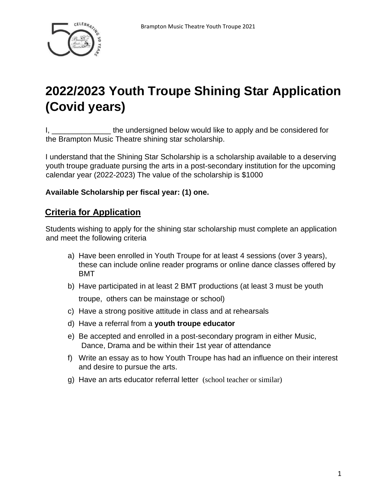

## **2022/2023 Youth Troupe Shining Star Application (Covid years)**

I, the undersigned below would like to apply and be considered for the Brampton Music Theatre shining star scholarship.

I understand that the Shining Star Scholarship is a scholarship available to a deserving youth troupe graduate pursing the arts in a post-secondary institution for the upcoming calendar year (2022-2023) The value of the scholarship is \$1000

## **Available Scholarship per fiscal year: (1) one.**

## **Criteria for Application**

Students wishing to apply for the shining star scholarship must complete an application and meet the following criteria

- a) Have been enrolled in Youth Troupe for at least 4 sessions (over 3 years), these can include online reader programs or online dance classes offered by BMT
- b) Have participated in at least 2 BMT productions (at least 3 must be youth troupe, others can be mainstage or school)
- c) Have a strong positive attitude in class and at rehearsals
- d) Have a referral from a **youth troupe educator**
- e) Be accepted and enrolled in a post-secondary program in either Music, Dance, Drama and be within their 1st year of attendance
- f) Write an essay as to how Youth Troupe has had an influence on their interest and desire to pursue the arts.
- g) Have an arts educator referral letter (school teacher or similar)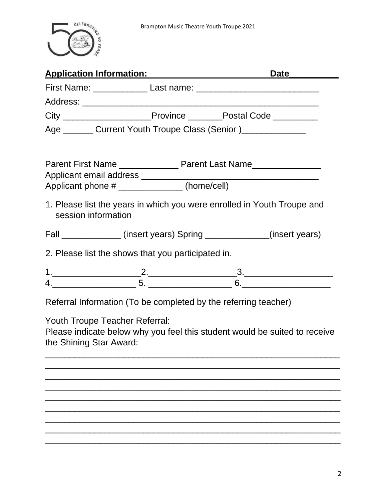

| Application Information: Application Management Control of Application Information:                                                            |  | Date_ |  |  |
|------------------------------------------------------------------------------------------------------------------------------------------------|--|-------|--|--|
|                                                                                                                                                |  |       |  |  |
|                                                                                                                                                |  |       |  |  |
| City __________________________Province ___________Postal Code ___________                                                                     |  |       |  |  |
| Age ________ Current Youth Troupe Class (Senior )_______________                                                                               |  |       |  |  |
| Parent First Name _________________ Parent Last Name____________________________<br>Applicant phone # ______________(home/cell)                |  |       |  |  |
| 1. Please list the years in which you were enrolled in Youth Troupe and<br>session information                                                 |  |       |  |  |
| Fall ______________(insert years) Spring _____________(insert years)                                                                           |  |       |  |  |
| 2. Please list the shows that you participated in.                                                                                             |  |       |  |  |
| $1.$ $2.$ $3.$ $3.$ $4.$                                                                                                                       |  |       |  |  |
|                                                                                                                                                |  |       |  |  |
| Referral Information (To be completed by the referring teacher)                                                                                |  |       |  |  |
| <b>Youth Troupe Teacher Referral:</b><br>Please indicate below why you feel this student would be suited to receive<br>the Shining Star Award: |  |       |  |  |
|                                                                                                                                                |  |       |  |  |
|                                                                                                                                                |  |       |  |  |
|                                                                                                                                                |  |       |  |  |
|                                                                                                                                                |  |       |  |  |

\_\_\_\_\_\_\_\_\_\_\_\_\_\_\_\_\_\_\_\_\_\_\_\_\_\_\_\_\_\_\_\_\_\_\_\_\_\_\_\_\_\_\_\_\_\_\_\_\_\_\_\_\_\_\_\_\_\_\_\_  $\overline{\phantom{a}}$  , and the contract of the contract of the contract of the contract of the contract of the contract of the contract of the contract of the contract of the contract of the contract of the contract of the contrac  $\overline{\phantom{a}}$  , and the contract of the contract of the contract of the contract of the contract of the contract of the contract of the contract of the contract of the contract of the contract of the contract of the contrac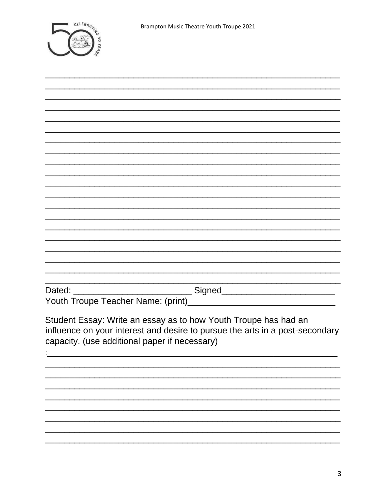

| Student Essay: Write an essay as to how Youth Troupe has had an<br>influence on your interest and desire to pursue the arts in a post-secondary<br>capacity. (use additional paper if necessary) |
|--------------------------------------------------------------------------------------------------------------------------------------------------------------------------------------------------|
|                                                                                                                                                                                                  |
|                                                                                                                                                                                                  |
|                                                                                                                                                                                                  |
|                                                                                                                                                                                                  |
|                                                                                                                                                                                                  |
|                                                                                                                                                                                                  |
|                                                                                                                                                                                                  |
|                                                                                                                                                                                                  |